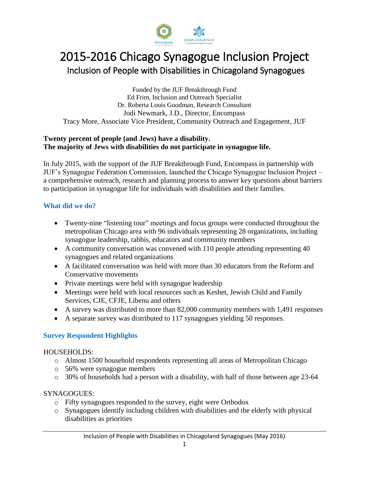

# 2015-2016 Chicago Synagogue Inclusion Project Inclusion of People with Disabilities in Chicagoland Synagogues

Funded by the JUF Breakthrough Fund Ed Frim, Inclusion and Outreach Specialist Dr. Roberta Louis Goodman, Research Consultant Jodi Newmark, J.D., Director, Encompass Tracy More, Associate Vice President, Community Outreach and Engagement, JUF

#### **Twenty percent of people (and Jews) have a disability. The majority of Jews with disabilities do not participate in synagogue life.**

In July 2015, with the support of the JUF Breakthrough Fund, Encompass in partnership with JUF's Synagogue Federation Commission, launched the Chicago Synagogue Inclusion Project – a comprehensive outreach, research and planning process to answer key questions about barriers to participation in synagogue life for individuals with disabilities and their families.

# **What did we do?**

- Twenty-nine "listening tour" meetings and focus groups were conducted throughout the metropolitan Chicago area with 96 individuals representing 28 organizations, including synagogue leadership, rabbis, educators and community members
- A community conversation was convened with 110 people attending representing 40 synagogues and related organizations
- A facilitated conversation was held with more than 30 educators from the Reform and Conservative movements
- Private meetings were held with synagogue leadership
- Meetings were held with local resources such as Keshet, Jewish Child and Family Services, CJE, CFJE, Libenu and others
- A survey was distributed to more than 82,000 community members with 1,491 responses
- A separate survey was distributed to 117 synagogues yielding 50 responses.

# **Survey Respondent Highlights**

# HOUSEHOLDS:

- o Almost 1500 household respondents representing all areas of Metropolitan Chicago
- o 56% were synagogue members
- o 30% of households had a person with a disability, with half of those between age 23-64

# SYNAGOGUES:

- o Fifty synagogues responded to the survey, eight were Orthodox
- o Synagogues identify including children with disabilities and the elderly with physical disabilities as priorities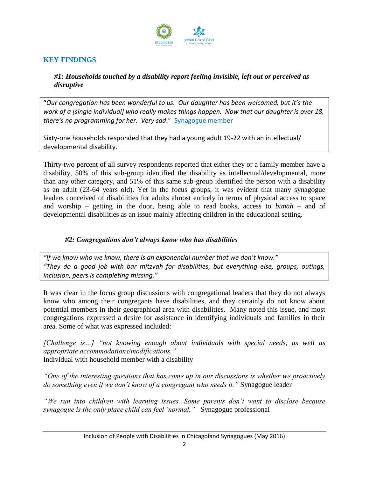

# **KEY FINDINGS**

*#1: Households touched by a disability report feeling invisible, left out or perceived as disruptive*

"*Our congregation has been wonderful to us. Our daughter has been welcomed, but it's the work of a [single individual] who really makes things happen. Now that our daughter is over 18, there's no programming for her. Very sad*." Synagogue member

Sixty-one households responded that they had a young adult 19-22 with an intellectual/ developmental disability.

Thirty-two percent of all survey respondents reported that either they or a family member have a disability, 50% of this sub-group identified the disability as intellectual/developmental, more than any other category, and 51% of this same sub-group identified the person with a disability as an adult (23-64 years old). Yet in the focus groups, it was evident that many synagogue leaders conceived of disabilities for adults almost entirely in terms of physical access to space and worship – getting in the door, being able to read books, access to *bimah* – and of developmental disabilities as an issue mainly affecting children in the educational setting.

#### *#2: Congregations don't always know who has disabilities*

*"If we know who we know, there is an exponential number that we don't know." "They do a good job with bar mitzvah for disabilities, but everything else, groups, outings, inclusion, peers is completing missing."*

It was clear in the focus group discussions with congregational leaders that they do not always know who among their congregants have disabilities, and they certainly do not know about potential members in their geographical area with disabilities. Many noted this issue, and most congregations expressed a desire for assistance in identifying individuals and families in their area. Some of what was expressed included:

*[Challenge is…] "not knowing enough about individuals with special needs, as well as appropriate accommodations/modifications."*  Individual with household member with a disability

*"One of the interesting questions that has come up in our discussions is whether we proactively do something even if we don't know of a congregant who needs it."* Synagogue leader

*"We run into children with learning issues. Some parents don't want to disclose because synagogue is the only place child can feel 'normal."* Synagogue professional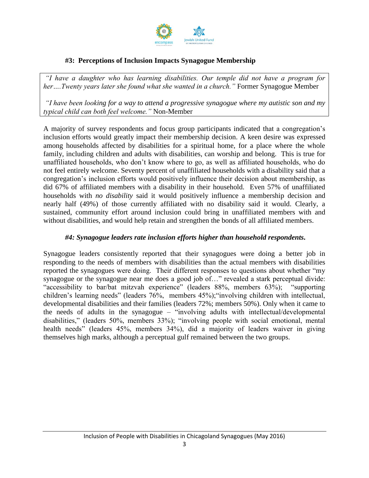

#### **#3: Perceptions of Inclusion Impacts Synagogue Membership**

*"I have a daughter who has learning disabilities. Our temple did not have a program for*  her....Twenty years later she found what she wanted in a church." Former Synagogue Member

*"I have been looking for a way to attend a progressive synagogue where my autistic son and my typical child can both feel welcome."* Non-Member

A majority of survey respondents and focus group participants indicated that a congregation's inclusion efforts would greatly impact their membership decision. A keen desire was expressed among households affected by disabilities for a spiritual home, for a place where the whole family, including children and adults with disabilities, can worship and belong. This is true for unaffiliated households, who don't know where to go, as well as affiliated households, who do not feel entirely welcome. Seventy percent of unaffiliated households with a disability said that a congregation's inclusion efforts would positively influence their decision about membership, as did 67% of affiliated members with a disability in their household. Even 57% of unaffiliated households with *no disability* said it would positively influence a membership decision and nearly half (49%) of those currently affiliated with no disability said it would. Clearly, a sustained, community effort around inclusion could bring in unaffiliated members with and without disabilities, and would help retain and strengthen the bonds of all affiliated members.

#### *#4: Synagogue leaders rate inclusion efforts higher than household respondents.*

Synagogue leaders consistently reported that their synagogues were doing a better job in responding to the needs of members with disabilities than the actual members with disabilities reported the synagogues were doing. Their different responses to questions about whether "my synagogue or the synagogue near me does a good job of..." revealed a stark perceptual divide: "accessibility to bar/bat mitzvah experience" (leaders 88%, members 63%); "supporting children's learning needs" (leaders 76%, members 45%);"involving children with intellectual, developmental disabilities and their families (leaders 72%; members 50%). Only when it came to the needs of adults in the synagogue – "involving adults with intellectual/developmental disabilities," (leaders 50%, members 33%); "involving people with social emotional, mental health needs" (leaders 45%, members 34%), did a majority of leaders waiver in giving themselves high marks, although a perceptual gulf remained between the two groups.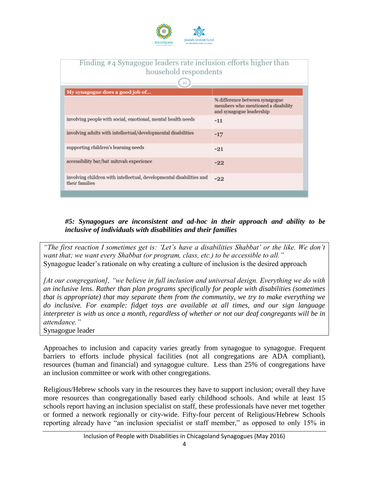

| Finding #4 Synagogue leaders rate inclusion efforts higher than<br>household respondents<br>10 |                                                                                                  |
|------------------------------------------------------------------------------------------------|--------------------------------------------------------------------------------------------------|
| My synagogue does a good job of                                                                |                                                                                                  |
|                                                                                                | % difference between synagogue<br>members who mentioned a disability<br>and synagogue leadership |
| involving people with social, emotional, mental health needs                                   | $-11$                                                                                            |
| involving adults with intellectual/developmental disabilities                                  | $-17$                                                                                            |
| supporting children's learning needs                                                           | $-21$                                                                                            |
| accessibility bar/bat mitzvah experience                                                       | $-22$                                                                                            |
| involving children with intellectual, developmental disabilities and<br>their families         | $-22$                                                                                            |

### *#5: Synagogues are inconsistent and ad-hoc in their approach and ability to be inclusive of individuals with disabilities and their families*

*"The first reaction I sometimes get is: 'Let's have a disabilities Shabbat' or the like. We don't want that; we want every Shabbat (or program, class, etc.) to be accessible to all."*  Synagogue leader's rationale on why creating a culture of inclusion is the desired approach

*[At our congregation], "we believe in full inclusion and universal design. Everything we do with an inclusive lens. Rather than plan programs specifically for people with disabilities (sometimes that is appropriate) that may separate them from the community, we try to make everything we do inclusive. For example: fidget toys are available at all times, and our sign language interpreter is with us once a month, regardless of whether or not our deaf congregants will be in attendance."* 

Synagogue leader

Approaches to inclusion and capacity varies greatly from synagogue to synagogue. Frequent barriers to efforts include physical facilities (not all congregations are ADA compliant), resources (human and financial) and synagogue culture. Less than 25% of congregations have an inclusion committee or work with other congregations.

Religious/Hebrew schools vary in the resources they have to support inclusion; overall they have more resources than congregationally based early childhood schools. And while at least 15 schools report having an inclusion specialist on staff, these professionals have never met together or formed a network regionally or city-wide. Fifty-four percent of Religious/Hebrew Schools reporting already have "an inclusion specialist or staff member," as opposed to only 15% in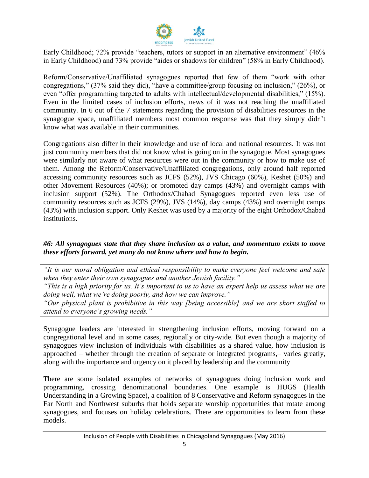

Early Childhood; 72% provide "teachers, tutors or support in an alternative environment" (46% in Early Childhood) and 73% provide "aides or shadows for children" (58% in Early Childhood).

Reform/Conservative/Unaffiliated synagogues reported that few of them "work with other congregations," (37% said they did), "have a committee/group focusing on inclusion," (26%), or even "offer programming targeted to adults with intellectual/developmental disabilities," (15%). Even in the limited cases of inclusion efforts, news of it was not reaching the unaffiliated community. In 6 out of the 7 statements regarding the provision of disabilities resources in the synagogue space, unaffiliated members most common response was that they simply didn't know what was available in their communities.

Congregations also differ in their knowledge and use of local and national resources. It was not just community members that did not know what is going on in the synagogue. Most synagogues were similarly not aware of what resources were out in the community or how to make use of them. Among the Reform/Conservative/Unaffiliated congregations, only around half reported accessing community resources such as JCFS (52%), JVS Chicago (60%), Keshet (50%) and other Movement Resources (40%); or promoted day camps (43%) and overnight camps with inclusion support (52%). The Orthodox/Chabad Synagogues reported even less use of community resources such as JCFS (29%), JVS (14%), day camps (43%) and overnight camps (43%) with inclusion support. Only Keshet was used by a majority of the eight Orthodox/Chabad institutions.

#### *#6: All synagogues state that they share inclusion as a value, and momentum exists to move these efforts forward, yet many do not know where and how to begin.*

*"It is our moral obligation and ethical responsibility to make everyone feel welcome and safe when they enter their own synagogues and another Jewish facility."* 

*"This is a high priority for us. It's important to us to have an expert help us assess what we are doing well, what we're doing poorly, and how we can improve."*

*"Our physical plant is prohibitive in this way [being accessible] and we are short staffed to attend to everyone's growing needs."*

Synagogue leaders are interested in strengthening inclusion efforts, moving forward on a congregational level and in some cases, regionally or city-wide. But even though a majority of synagogues view inclusion of individuals with disabilities as a shared value, how inclusion is approached – whether through the creation of separate or integrated programs,– varies greatly, along with the importance and urgency on it placed by leadership and the community

There are some isolated examples of networks of synagogues doing inclusion work and programming, crossing denominational boundaries. One example is HUGS (Health Understanding in a Growing Space), a coalition of 8 Conservative and Reform synagogues in the Far North and Northwest suburbs that holds separate worship opportunities that rotate among synagogues, and focuses on holiday celebrations. There are opportunities to learn from these models.